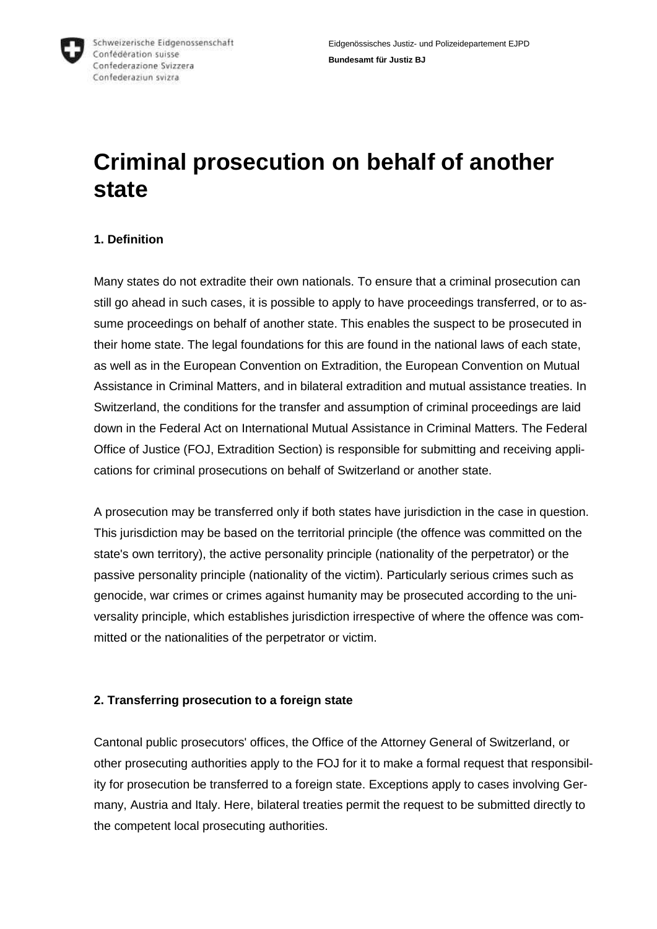

# **Criminal prosecution on behalf of another state**

# **1. Definition**

Many states do not extradite their own nationals. To ensure that a criminal prosecution can still go ahead in such cases, it is possible to apply to have proceedings transferred, or to assume proceedings on behalf of another state. This enables the suspect to be prosecuted in their home state. The legal foundations for this are found in the national laws of each state, as well as in the European Convention on Extradition, the European Convention on Mutual Assistance in Criminal Matters, and in bilateral extradition and mutual assistance treaties. In Switzerland, the conditions for the transfer and assumption of criminal proceedings are laid down in the Federal Act on International Mutual Assistance in Criminal Matters. The Federal Office of Justice (FOJ, Extradition Section) is responsible for submitting and receiving applications for criminal prosecutions on behalf of Switzerland or another state.

A prosecution may be transferred only if both states have jurisdiction in the case in question. This jurisdiction may be based on the territorial principle (the offence was committed on the state's own territory), the active personality principle (nationality of the perpetrator) or the passive personality principle (nationality of the victim). Particularly serious crimes such as genocide, war crimes or crimes against humanity may be prosecuted according to the universality principle, which establishes jurisdiction irrespective of where the offence was committed or the nationalities of the perpetrator or victim.

## **2. Transferring prosecution to a foreign state**

Cantonal public prosecutors' offices, the Office of the Attorney General of Switzerland, or other prosecuting authorities apply to the FOJ for it to make a formal request that responsibility for prosecution be transferred to a foreign state. Exceptions apply to cases involving Germany, Austria and Italy. Here, bilateral treaties permit the request to be submitted directly to the competent local prosecuting authorities.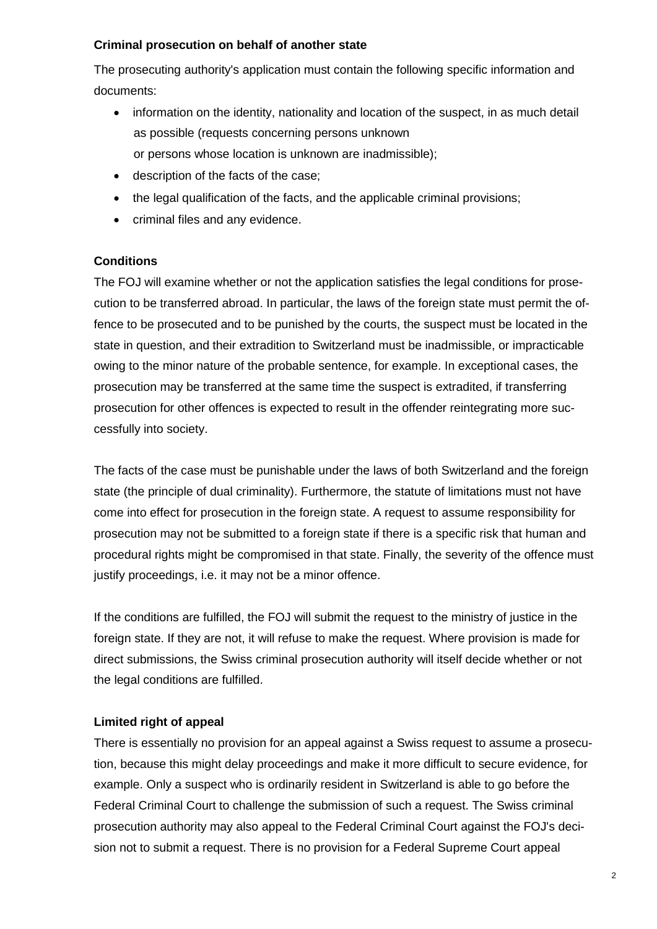#### **Criminal prosecution on behalf of another state**

The prosecuting authority's application must contain the following specific information and documents:

- information on the identity, nationality and location of the suspect, in as much detail as possible (requests concerning persons unknown or persons whose location is unknown are inadmissible);
- description of the facts of the case;
- the legal qualification of the facts, and the applicable criminal provisions;
- criminal files and any evidence.

## **Conditions**

The FOJ will examine whether or not the application satisfies the legal conditions for prosecution to be transferred abroad. In particular, the laws of the foreign state must permit the offence to be prosecuted and to be punished by the courts, the suspect must be located in the state in question, and their extradition to Switzerland must be inadmissible, or impracticable owing to the minor nature of the probable sentence, for example. In exceptional cases, the prosecution may be transferred at the same time the suspect is extradited, if transferring prosecution for other offences is expected to result in the offender reintegrating more successfully into society.

The facts of the case must be punishable under the laws of both Switzerland and the foreign state (the principle of dual criminality). Furthermore, the statute of limitations must not have come into effect for prosecution in the foreign state. A request to assume responsibility for prosecution may not be submitted to a foreign state if there is a specific risk that human and procedural rights might be compromised in that state. Finally, the severity of the offence must justify proceedings, i.e. it may not be a minor offence.

If the conditions are fulfilled, the FOJ will submit the request to the ministry of justice in the foreign state. If they are not, it will refuse to make the request. Where provision is made for direct submissions, the Swiss criminal prosecution authority will itself decide whether or not the legal conditions are fulfilled.

# **Limited right of appeal**

There is essentially no provision for an appeal against a Swiss request to assume a prosecution, because this might delay proceedings and make it more difficult to secure evidence, for example. Only a suspect who is ordinarily resident in Switzerland is able to go before the Federal Criminal Court to challenge the submission of such a request. The Swiss criminal prosecution authority may also appeal to the Federal Criminal Court against the FOJ's decision not to submit a request. There is no provision for a Federal Supreme Court appeal